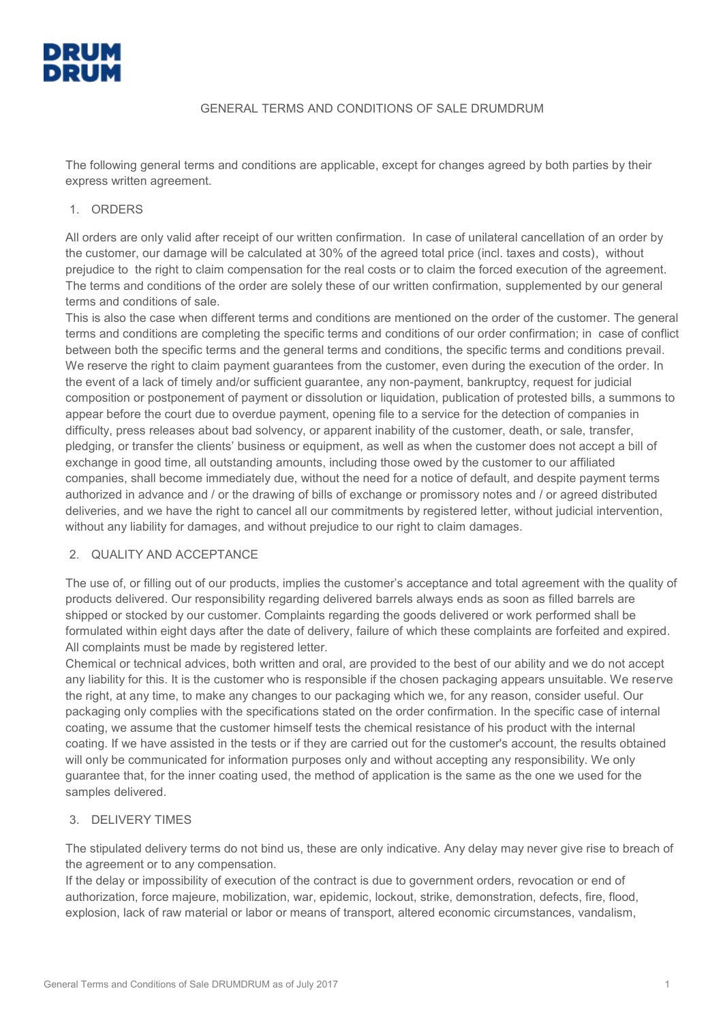

### GENERAL TERMS AND CONDITIONS OF SALE DRUMDRUM

The following general terms and conditions are applicable, except for changes agreed by both parties by their express written agreement.

#### 1. ORDERS

All orders are only valid after receipt of our written confirmation. In case of unilateral cancellation of an order by the customer, our damage will be calculated at 30% of the agreed total price (incl. taxes and costs), without prejudice to the right to claim compensation for the real costs or to claim the forced execution of the agreement. The terms and conditions of the order are solely these of our written confirmation, supplemented by our general terms and conditions of sale.

This is also the case when different terms and conditions are mentioned on the order of the customer. The general terms and conditions are completing the specific terms and conditions of our order confirmation; in case of conflict between both the specific terms and the general terms and conditions, the specific terms and conditions prevail. We reserve the right to claim payment guarantees from the customer, even during the execution of the order. In the event of a lack of timely and/or sufficient guarantee, any non-payment, bankruptcy, request for judicial composition or postponement of payment or dissolution or liquidation, publication of protested bills, a summons to appear before the court due to overdue payment, opening file to a service for the detection of companies in difficulty, press releases about bad solvency, or apparent inability of the customer, death, or sale, transfer, pledging, or transfer the clients' business or equipment, as well as when the customer does not accept a bill of exchange in good time, all outstanding amounts, including those owed by the customer to our affiliated companies, shall become immediately due, without the need for a notice of default, and despite payment terms authorized in advance and / or the drawing of bills of exchange or promissory notes and / or agreed distributed deliveries, and we have the right to cancel all our commitments by registered letter, without judicial intervention, without any liability for damages, and without prejudice to our right to claim damages.

# 2. QUALITY AND ACCEPTANCE

The use of, or filling out of our products, implies the customer's acceptance and total agreement with the quality of products delivered. Our responsibility regarding delivered barrels always ends as soon as filled barrels are shipped or stocked by our customer. Complaints regarding the goods delivered or work performed shall be formulated within eight days after the date of delivery, failure of which these complaints are forfeited and expired. All complaints must be made by registered letter.

Chemical or technical advices, both written and oral, are provided to the best of our ability and we do not accept any liability for this. It is the customer who is responsible if the chosen packaging appears unsuitable. We reserve the right, at any time, to make any changes to our packaging which we, for any reason, consider useful. Our packaging only complies with the specifications stated on the order confirmation. In the specific case of internal coating, we assume that the customer himself tests the chemical resistance of his product with the internal coating. If we have assisted in the tests or if they are carried out for the customer's account, the results obtained will only be communicated for information purposes only and without accepting any responsibility. We only guarantee that, for the inner coating used, the method of application is the same as the one we used for the samples delivered.

#### 3. DELIVERY TIMES

The stipulated delivery terms do not bind us, these are only indicative. Any delay may never give rise to breach of the agreement or to any compensation.

If the delay or impossibility of execution of the contract is due to government orders, revocation or end of authorization, force majeure, mobilization, war, epidemic, lockout, strike, demonstration, defects, fire, flood, explosion, lack of raw material or labor or means of transport, altered economic circumstances, vandalism,